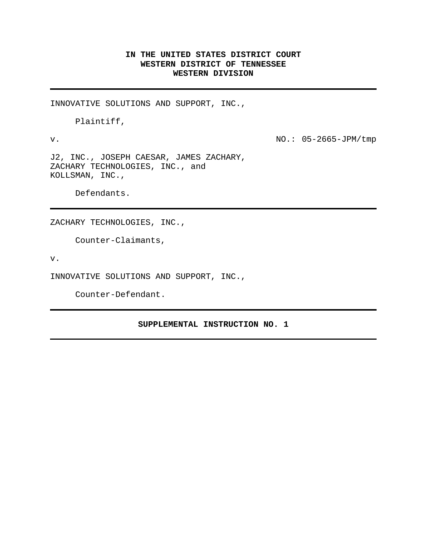## **IN THE UNITED STATES DISTRICT COURT WESTERN DISTRICT OF TENNESSEE WESTERN DIVISION**

INNOVATIVE SOLUTIONS AND SUPPORT, INC.,

Plaintiff,

v. NO.: 05-2665-JPM/tmp

J2, INC., JOSEPH CAESAR, JAMES ZACHARY, ZACHARY TECHNOLOGIES, INC., and KOLLSMAN, INC.,

Defendants.

ZACHARY TECHNOLOGIES, INC.,

Counter-Claimants,

v.

INNOVATIVE SOLUTIONS AND SUPPORT, INC.,

Counter-Defendant.

## **SUPPLEMENTAL INSTRUCTION NO. 1**